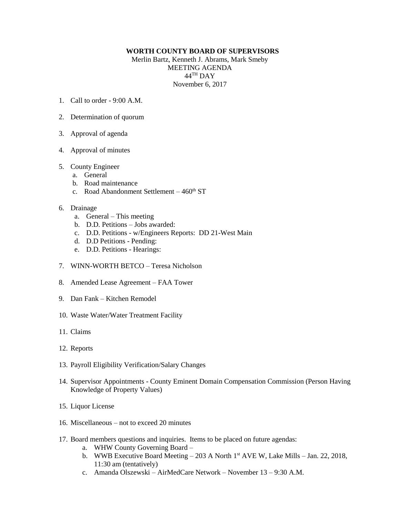## **WORTH COUNTY BOARD OF SUPERVISORS**

Merlin Bartz, Kenneth J. Abrams, Mark Smeby MEETING AGENDA  $44^{\text{TH}}$  DAY November 6, 2017

- 1. Call to order  $9.00 \text{ A M}$
- 2. Determination of quorum
- 3. Approval of agenda
- 4. Approval of minutes
- 5. County Engineer
	- a. General
	- b. Road maintenance
	- c. Road Abandonment Settlement  $-460<sup>th</sup>$  ST
- 6. Drainage
	- a. General This meeting
	- b. D.D. Petitions Jobs awarded:
	- c. D.D. Petitions w/Engineers Reports: DD 21-West Main
	- d. D.D Petitions Pending:
	- e. D.D. Petitions Hearings:
- 7. WINN-WORTH BETCO Teresa Nicholson
- 8. Amended Lease Agreement FAA Tower
- 9. Dan Fank Kitchen Remodel
- 10. Waste Water/Water Treatment Facility
- 11. Claims
- 12. Reports
- 13. Payroll Eligibility Verification/Salary Changes
- 14. Supervisor Appointments County Eminent Domain Compensation Commission (Person Having Knowledge of Property Values)
- 15. Liquor License
- 16. Miscellaneous not to exceed 20 minutes
- 17. Board members questions and inquiries. Items to be placed on future agendas:
	- a. WHW County Governing Board –
	- b. WWB Executive Board Meeting  $-203$  A North 1<sup>st</sup> AVE W, Lake Mills  $-$  Jan. 22, 2018, 11:30 am (tentatively)
	- c. Amanda Olszewski AirMedCare Network November 13 9:30 A.M.